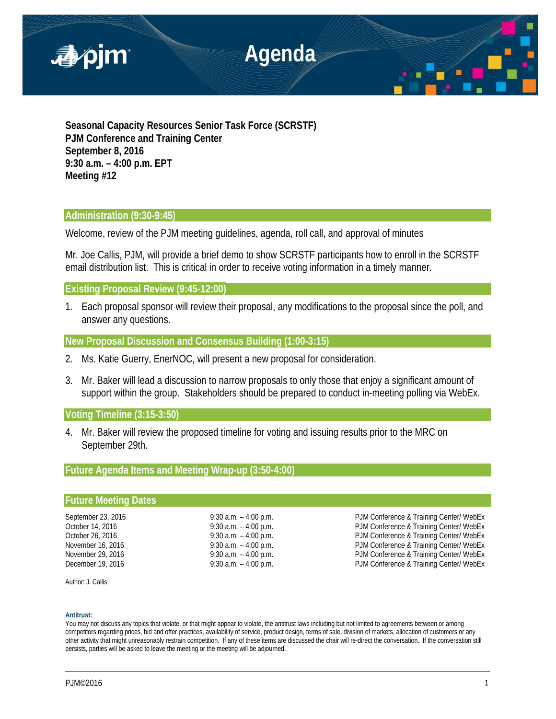

**Seasonal Capacity Resources Senior Task Force (SCRSTF) PJM Conference and Training Center September 8, 2016 9:30 a.m. – 4:00 p.m. EPT Meeting #12**

# **Administration (9:30-9:45)**

Welcome, review of the PJM meeting guidelines, agenda, roll call, and approval of minutes

Mr. Joe Callis, PJM, will provide a brief demo to show SCRSTF participants how to enroll in the SCRSTF email distribution list. This is critical in order to receive voting information in a timely manner.

**Existing Proposal Review (9:45-12:00)** 

1. Each proposal sponsor will review their proposal, any modifications to the proposal since the poll, and answer any questions.

**New Proposal Discussion and Consensus Building (1:00-3:15)** 

- 2. Ms. Katie Guerry, EnerNOC, will present a new proposal for consideration.
- 3. Mr. Baker will lead a discussion to narrow proposals to only those that enjoy a significant amount of support within the group. Stakeholders should be prepared to conduct in-meeting polling via WebEx.

**Voting Timeline (3:15-3:50)**

4. Mr. Baker will review the proposed timeline for voting and issuing results prior to the MRC on September 29th.

# **Future Agenda Items and Meeting Wrap-up (3:50-4:00)**

## **Future Meeting Dates**

September 23, 2016 **9:30 a.m.** – 4:00 p.m. PJM Conference & Training Center/ WebEx<br>October 14, 2016 **9:30 a.m.** – 4:00 p.m. PJM Conference & Training Center/ WebEx October 14, 2016 **9:30 a.m.** – 4:00 p.m. PJM Conference & Training Center/ WebEx October 26, 2016 9:30 a.m. - 4:00 p.m. PJM Conference & Training Center/ WebEx November 16, 2016 **19:30 a.m.** – 4:00 p.m. **PJM Conference & Training Center/ WebEx** November 29, 2016 9:30 a.m. – 4:00 p.m. PJM Conference & Training Center/ WebEx PJM Conference & Training Center/ WebEx

Author: J. Callis

### **Antitrust:**

You may not discuss any topics that violate, or that might appear to violate, the antitrust laws including but not limited to agreements between or among competitors regarding prices, bid and offer practices, availability of service, product design, terms of sale, division of markets, allocation of customers or any other activity that might unreasonably restrain competition. If any of these items are discussed the chair will re-direct the conversation. If the conversation still persists, parties will be asked to leave the meeting or the meeting will be adjourned.